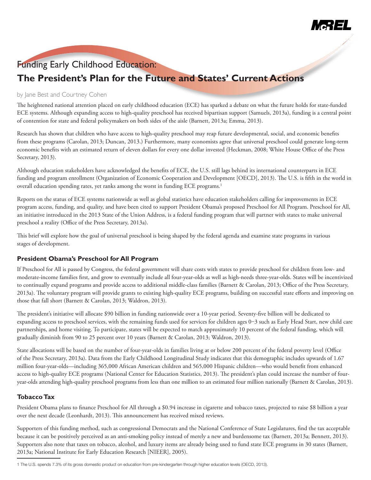

# Funding Early Childhood Education:

# **The President's Plan for the Future and States' Current Actions**

#### by Jane Best and Courtney Cohen

The heightened national attention placed on early childhood education (ECE) has sparked a debate on what the future holds for state-funded ECE systems. Although expanding access to high-quality preschool has received bipartisan support (Samuels, 2013a), funding is a central point of contention for state and federal policymakers on both sides of the aisle (Barnett, 2013a; Emma, 2013).

Research has shown that children who have access to high-quality preschool may reap future developmental, social, and economic benefits from these programs (Carolan, 2013; Duncan, 2013.) Furthermore, many economists agree that universal preschool could generate long-term economic benefits with an estimated return of eleven dollars for every one dollar invested (Heckman, 2008; White House Office of the Press Secretary, 2013).

Although education stakeholders have acknowledged the benefits of ECE, the U.S. still lags behind its international counterparts in ECE funding and program enrollment (Organization of Economic Cooperation and Development [OECD], 2013). The U.S. is fifth in the world in overall education spending rates, yet ranks among the worst in funding ECE programs.<sup>1</sup>

Reports on the status of ECE systems nationwide as well as global statistics have education stakeholders calling for improvements in ECE program access, funding, and quality, and have been cited to support President Obama's proposed Preschool for All Program. Preschool for All, an initiative introduced in the 2013 State of the Union Address, is a federal funding program that will partner with states to make universal preschool a reality (Office of the Press Secretary, 2013a).

This brief will explore how the goal of universal preschool is being shaped by the federal agenda and examine state programs in various stages of development.

## **President Obama's Preschool for All Program**

If Preschool for All is passed by Congress, the federal government will share costs with states to provide preschool for children from low- and moderate-income families first, and grow to eventually include all four-year-olds as well as high-needs three-year-olds. States will be incentivized to continually expand programs and provide access to additional middle-class families (Barnett & Carolan, 2013; Office of the Press Secretary, 2013a). The voluntary program will provide grants to existing high-quality ECE programs, building on successful state efforts and improving on those that fall short (Barnett & Carolan, 2013; Waldron, 2013).

The president's initiative will allocate \$90 billion in funding nationwide over a 10-year period. Seventy-five billion will be dedicated to expanding access to preschool services, with the remaining funds used for services for children ages 0–3 such as Early Head Start, new child care partnerships, and home visiting. To participate, states will be expected to match approximately 10 percent of the federal funding, which will gradually diminish from 90 to 25 percent over 10 years (Barnett & Carolan, 2013; Waldron, 2013).

State allocations will be based on the number of four-year-olds in families living at or below 200 percent of the federal poverty level (Office of the Press Secretary, 2013a). Data from the Early Childhood Longitudinal Study indicates that this demographic includes upwards of 1.67 million four-year-olds—including 365,000 African American children and 565,000 Hispanic children—who would benefit from enhanced access to high-quality ECE programs (National Center for Education Statistics, 2013). The president's plan could increase the number of fouryear-olds attending high-quality preschool programs from less than one million to an estimated four million nationally (Barnett & Carolan, 2013).

## **Tobacco Tax**

President Obama plans to finance Preschool for All through a \$0.94 increase in cigarette and tobacco taxes, projected to raise \$8 billion a year over the next decade (Leonhardt, 2013). This announcement has received mixed reviews.

Supporters of this funding method, such as congressional Democrats and the National Conference of State Legislatures, find the tax acceptable because it can be positively perceived as an anti-smoking policy instead of merely a new and burdensome tax (Barnett, 2013a; Bennett, 2013). Supporters also note that taxes on tobacco, alcohol, and luxury items are already being used to fund state ECE programs in 30 states (Barnett, 2013a; National Institute for Early Education Research [NIEER], 2005).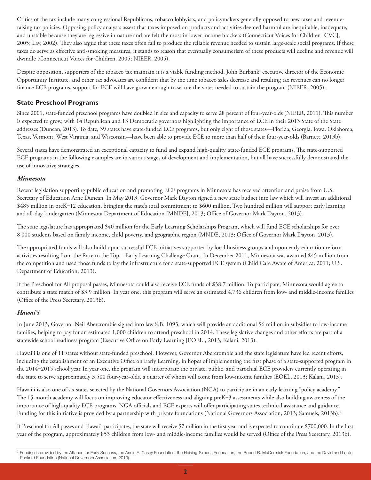Critics of the tax include many congressional Republicans, tobacco lobbyists, and policymakers generally opposed to new taxes and revenueraising tax policies. Opposing policy analysts assert that taxes imposed on products and activities deemed harmful are inequitable, inadequate, and unstable because they are regressive in nature and are felt the most in lower income brackets (Connecticut Voices for Children [CVC], 2005; Lav, 2002). They also argue that these taxes often fail to produce the reliable revenue needed to sustain large-scale social programs. If these taxes do serve as effective anti-smoking measures, it stands to reason that eventually consumerism of these products will decline and revenue will dwindle (Connecticut Voices for Children, 2005; NIEER, 2005).

Despite opposition, supporters of the tobacco tax maintain it is a viable funding method. John Burbank, executive director of the Economic Opportunity Institute, and other tax advocates are confident that by the time tobacco sales decrease and resulting tax revenues can no longer finance ECE programs, support for ECE will have grown enough to secure the votes needed to sustain the program (NIEER, 2005).

## **State Preschool Programs**

Since 2001, state-funded preschool programs have doubled in size and capacity to serve 28 percent of four-year-olds (NIEER, 2011). This number is expected to grow, with 14 Republican and 13 Democratic governors highlighting the importance of ECE in their 2013 State of the State addresses (Duncan, 2013). To date, 39 states have state-funded ECE programs, but only eight of those states—Florida, Georgia, Iowa, Oklahoma, Texas, Vermont, West Virginia, and Wisconsin—have been able to provide ECE to more than half of their four-year-olds (Barnett, 2013b).

Several states have demonstrated an exceptional capacity to fund and expand high-quality, state-funded ECE programs. The state-supported ECE programs in the following examples are in various stages of development and implementation, but all have successfully demonstrated the use of innovative strategies.

## *Minnesota*

Recent legislation supporting public education and promoting ECE programs in Minnesota has received attention and praise from U.S. Secretary of Education Arne Duncan. In May 2013, Governor Mark Dayton signed a new state budget into law which will invest an additional \$485 million in preK-12 education, bringing the state's total commitment to \$600 million. Two hundred million will support early learning and all-day kindergarten (Minnesota Department of Education [MNDE], 2013; Office of Governor Mark Dayton, 2013).

The state legislature has appropriated \$40 million for the Early Learning Scholarships Program, which will fund ECE scholarships for over 8,000 students based on family income, child poverty, and geographic region (MNDE, 2013; Office of Governor Mark Dayton, 2013).

The appropriated funds will also build upon successful ECE initiatives supported by local business groups and upon early education reform activities resulting from the Race to the Top – Early Learning Challenge Grant. In December 2011, Minnesota was awarded \$45 million from the competition and used those funds to lay the infrastructure for a state-supported ECE system (Child Care Aware of America, 2011; U.S. Department of Education, 2013).

If the Preschool for All proposal passes, Minnesota could also receive ECE funds of \$38.7 million. To participate, Minnesota would agree to contribute a state match of \$3.9 million. In year one, this program will serve an estimated 4,736 children from low- and middle-income families (Office of the Press Secretary, 2013b).

## *Hawai'i*

In June 2013, Governor Neil Abercrombie signed into law S.B. 1093, which will provide an additional \$6 million in subsidies to low-income families, helping to pay for an estimated 1,000 children to attend preschool in 2014. These legislative changes and other efforts are part of a statewide school readiness program (Executive Office on Early Learning [EOEL], 2013; Kalani, 2013).

Hawai'i is one of 11 states without state-funded preschool. However, Governor Abercrombie and the state legislature have led recent efforts, including the establishment of an Executive Office on Early Learning, in hopes of implementing the first phase of a state-supported program in the 2014–2015 school year. In year one, the program will incorporate the private, public, and parochial ECE providers currently operating in the state to serve approximately 3,500 four-year-olds, a quarter of whom will come from low-income families (EOEL, 2013; Kalani, 2013).

Hawai'i is also one of six states selected by the National Governors Association (NGA) to participate in an early learning "policy academy." The 15-month academy will focus on improving educator effectiveness and aligning preK-3 assessments while also building awareness of the importance of high-quality ECE programs. NGA officials and ECE experts will offer participating states technical assistance and guidance. Funding for this initiative is provided by a partnership with private foundations (National Governors Association, 2013; Samuels, 2013b).<sup>2</sup>

If Preschool for All passes and Hawai'i participates, the state will receive \$7 million in the first year and is expected to contribute \$700,000. In the first year of the program, approximately 853 children from low- and middle-income families would be served (Office of the Press Secretary, 2013b).

<sup>&</sup>lt;sup>2</sup> Funding is provided by the Alliance for Early Success, the Annie E. Casey Foundation, the Heising-Simons Foundation, the Robert R. McCormick Foundation, and the David and Lucile Packard Foundation (National Governors Association, 2013).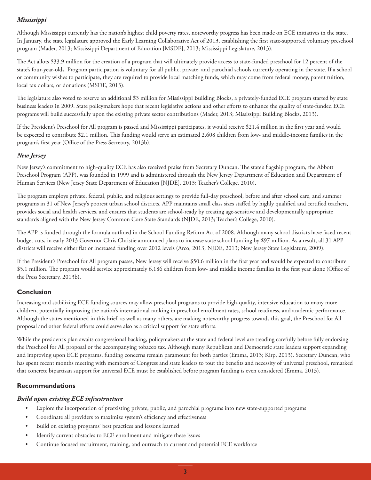## *Mississippi*

Although Mississippi currently has the nation's highest child poverty rates, noteworthy progress has been made on ECE initiatives in the state. In January, the state legislature approved the Early Learning Collaborative Act of 2013, establishing the first state-supported voluntary preschool program (Mader, 2013; Mississippi Department of Education [MSDE], 2013; Mississippi Legislature, 2013).

The Act allots \$33.9 million for the creation of a program that will ultimately provide access to state-funded preschool for 12 percent of the state's four-year-olds. Program participation is voluntary for all public, private, and parochial schools currently operating in the state. If a school or community wishes to participate, they are required to provide local matching funds, which may come from federal money, parent tuition, local tax dollars, or donations (MSDE, 2013).

The legislature also voted to reserve an additional \$3 million for Mississippi Building Blocks, a privately-funded ECE program started by state business leaders in 2009. State policymakers hope that recent legislative actions and other efforts to enhance the quality of state-funded ECE programs will build successfully upon the existing private sector contributions (Mader, 2013; Mississippi Building Blocks, 2013).

If the President's Preschool for All program is passed and Mississippi participates, it would receive \$21.4 million in the first year and would be expected to contribute \$2.1 million. This funding would serve an estimated 2,608 children from low- and middle-income families in the program's first year (Office of the Press Secretary, 2013b).

## *New Jersey*

New Jersey's commitment to high-quality ECE has also received praise from Secretary Duncan. The state's flagship program, the Abbott Preschool Program (APP), was founded in 1999 and is administered through the New Jersey Department of Education and Department of Human Services (New Jersey State Department of Education [NJDE], 2013; Teacher's College, 2010).

The program employs private, federal, public, and religious settings to provide full-day preschool, before and after school care, and summer programs in 31 of New Jersey's poorest urban school districts. APP maintains small class sizes staffed by highly qualified and certified teachers, provides social and health services, and ensures that students are school-ready by creating age-sensitive and developmentally appropriate standards aligned with the New Jersey Common Core State Standards (NJDE, 2013; Teacher's College, 2010).

The APP is funded through the formula outlined in the School Funding Reform Act of 2008. Although many school districts have faced recent budget cuts, in early 2013 Governor Chris Christie announced plans to increase state school funding by \$97 million. As a result, all 31 APP districts will receive either flat or increased funding over 2012 levels (Arco, 2013; NJDE, 2013; New Jersey State Legislature, 2009).

If the President's Preschool for All program passes, New Jersey will receive \$50.6 million in the first year and would be expected to contribute \$5.1 million. The program would service approximately 6,186 children from low- and middle income families in the first year alone (Office of the Press Secretary, 2013b).

## **Conclusion**

Increasing and stabilizing ECE funding sources may allow preschool programs to provide high-quality, intensive education to many more children, potentially improving the nation's international ranking in preschool enrollment rates, school readiness, and academic performance. Although the states mentioned in this brief, as well as many others, are making noteworthy progress towards this goal, the Preschool for All proposal and other federal efforts could serve also as a critical support for state efforts.

While the president's plan awaits congressional backing, policymakers at the state and federal level are treading carefully before fully endorsing the Preschool for All proposal or the accompanying tobacco tax. Although many Republican and Democratic state leaders support expanding and improving upon ECE programs, funding concerns remain paramount for both parties (Emma, 2013; Kirp, 2013). Secretary Duncan, who has spent recent months meeting with members of Congress and state leaders to tout the benefits and necessity of universal preschool, remarked that concrete bipartisan support for universal ECE must be established before program funding is even considered (Emma, 2013).

## **Recommendations**

## *Build upon existing ECE infrastructure*

- • Explore the incorporation of preexisting private, public, and parochial programs into new state-supported programs
- Coordinate all providers to maximize system's efficiency and effectiveness
- • Build on existing programs' best practices and lessons learned
- Identify current obstacles to ECE enrollment and mitigate these issues
- • Continue focused recruitment, training, and outreach to current and potential ECE workforce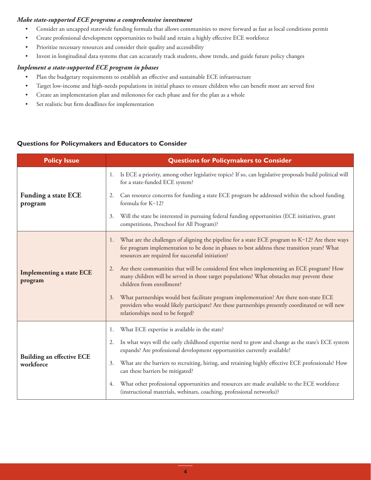## *Make state-supported ECE programs a comprehensive investment*

- • Consider an uncapped statewide funding formula that allows communities to move forward as fast as local conditions permit
- • Create professional development opportunities to build and retain a highly effective ECE workforce
- Prioritize necessary resources and consider their quality and accessibility
- • Invest in longitudinal data systems that can accurately track students, show trends, and guide future policy changes

## *Implement a state-supported ECE program in phases*

- • Plan the budgetary requirements to establish an effective and sustainable ECE infrastructure
- • Target low-income and high-needs populations in initial phases to ensure children who can benefit most are served first
- • Create an implementation plan and milestones for each phase and for the plan as a whole
- • Set realistic but firm deadlines for implementation

## **Questions for Policymakers and Educators to Consider**

| <b>Policy Issue</b>                           | <b>Questions for Policymakers to Consider</b>                                                                                                                                                                                                               |
|-----------------------------------------------|-------------------------------------------------------------------------------------------------------------------------------------------------------------------------------------------------------------------------------------------------------------|
| <b>Funding a state ECE</b><br>program         | Is ECE a priority, among other legislative topics? If so, can legislative proposals build political will<br>1.<br>for a state-funded ECE system?                                                                                                            |
|                                               | Can resource concerns for funding a state ECE program be addressed within the school funding<br>2.<br>formula for K-12?                                                                                                                                     |
|                                               | Will the state be interested in pursuing federal funding opportunities (ECE initiatives, grant<br>3.<br>competitions, Preschool for All Program)?                                                                                                           |
| <b>Implementing a state ECE</b><br>program    | What are the challenges of aligning the pipeline for a state ECE program to K-12? Are there ways<br>1.<br>for program implementation to be done in phases to best address these transition years? What<br>resources are required for successful initiation? |
|                                               | Are there communities that will be considered first when implementing an ECE program? How<br>2.<br>many children will be served in those target populations? What obstacles may prevent these<br>children from enrollment?                                  |
|                                               | What partnerships would best facilitate program implementation? Are there non-state ECE<br>3.<br>providers who would likely participate? Are these partnerships presently coordinated or will new<br>relationships need to be forged?                       |
| <b>Building an effective ECE</b><br>workforce | What ECE expertise is available in the state?<br>1.                                                                                                                                                                                                         |
|                                               | In what ways will the early childhood expertise need to grow and change as the state's ECE system<br>2.<br>expands? Are professional development opportunities currently available?                                                                         |
|                                               | What are the barriers to recruiting, hiring, and retaining highly effective ECE professionals? How<br>3.<br>can these barriers be mitigated?                                                                                                                |
|                                               | What other professional opportunities and resources are made available to the ECE workforce<br>4.<br>(instructional materials, webinars, coaching, professional networks)?                                                                                  |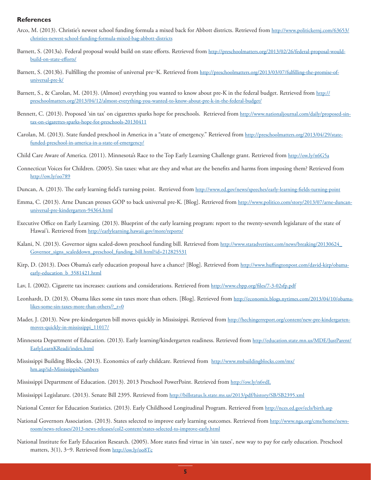#### **References**

- Arco, M. (2013). Christie's newest school funding formula a mixed back for Abbott districts. Retrieved from http://www.politickernj.com/63653/ christies-newest-school-funding-formula-mixed-bag-abbott-districts
- Barnett, S. (2013a). Federal proposal would build on state efforts. Retrieved from http://preschoolmatters.org/2013/02/26/federal-proposal-wouldbuild-on-state-efforts/
- Barnett, S. (2013b). Fulfilling the promise of universal pre–K. Retrieved from http://preschoolmatters.org/2013/03/07/fulfilling-the-promise-ofuniversal-pre-k/
- Barnett, S., & Carolan, M. (2013). (Almost) everything you wanted to know about pre-K in the federal budget. Retrieved from http:// preschoolmatters.org/2013/04/12/almost-everything-you-wanted-to-know-about-pre-k-in-the-federal-budget/
- Bennett, C. (2013). Proposed 'sin tax' on cigarettes sparks hope for preschools. Retrieved from http://www.nationaljournal.com/daily/proposed-sintax-on-cigarettes-sparks-hope-for-preschools-20130411
- Carolan, M. (2013). State funded preschool in America in a "state of emergency." Retrieved from http://preschoolmatters.org/2013/04/29/statefunded-preschool-in-america-in-a-state-of-emergency/
- Child Care Aware of America. (2011). Minnesota's Race to the Top Early Learning Challenge grant. Retrieved from http://ow.ly/n6G5a
- Connecticut Voices for Children. (2005). Sin taxes: what are they and what are the benefits and harms from imposing them? Retrieved from http://ow.ly/oo789
- Duncan, A. (2013). The early learning field's turning point. Retrieved from http://www.ed.gov/news/speeches/early-learning-fields-turning-point
- Emma, C. (2013). Arne Duncan presses GOP to back universal pre-K. [Blog]. Retrieved from http://www.politico.com/story/2013/07/arne-duncanuniversal-pre-kindergarten-94364.html
- Executive Office on Early Learning. (2013). Blueprint of the early learning program: report to the twenty-seventh legislature of the state of Hawai'i. Retrieved from http://earlylearning.hawaii.gov/more/reports/
- Kalani, N. (2013). Governor signs scaled-down preschool funding bill. Retrieved from http://www.staradvertiser.com/news/breaking/20130624 Governor\_signs\_scaleddown\_preschool\_funding\_bill.html?id=212825531
- Kirp, D. (2013). Does Obama's early education proposal have a chance? [Blog]. Retrieved from http://www.huffingtonpost.com/david-kirp/obamaearly-education\_b\_3581421.html
- Lav, I. (2002). Cigarette tax increases: cautions and considerations. Retrieved from http://www.cbpp.org/files/7-3-02sfp.pdf
- Leonhardt, D. (2013). Obama likes some sin taxes more than others. [Blog]. Retrieved from http://economix.blogs.nytimes.com/2013/04/10/obamalikes-some-sin-taxes-more-than-others/? r=0
- Mader, J. (2013). New pre-kindergarten bill moves quickly in Mississippi. Retrieved from http://hechingerreport.org/content/new-pre-kindergartenmoves-quickly-in-mississippi\_11017/
- Minnesota Department of Education. (2013). Early learning/kindergarten readiness. Retrieved from http://education.state.mn.us/MDE/JustParent/ EarlyLearnKReadi/index.html
- Mississippi Building Blocks. (2013). Economics of early childcare. Retrieved from http://www.msbuildingblocks.com/mx/ hm.asp?id=MississippisNumbers
- Mississippi Department of Education. (2013). 2013 Preschool PowerPoint. Retrieved from http://ow.ly/n6vdL
- Mississippi Legislature. (2013). Senate Bill 2395. Retrieved from http://billstatus.ls.state.ms.us/2013/pdf/history/SB/SB2395.xml
- National Center for Education Statistics. (2013). Early Childhood Longitudinal Program. Retrieved from http://nces.ed.gov/ecls/birth.asp
- National Governors Association. (2013). States selected to improve early learning outcomes. Retrieved from http://www.nga.org/cms/home/newsroom/news-releases/2013-news-releases/col2-content/states-selected-to-improve-early.html
- National Institute for Early Education Research. (2005). More states find virtue in 'sin taxes', new way to pay for early education. Preschool matters, 3(1), 3-9. Retrieved from http://ow.ly/008Tc